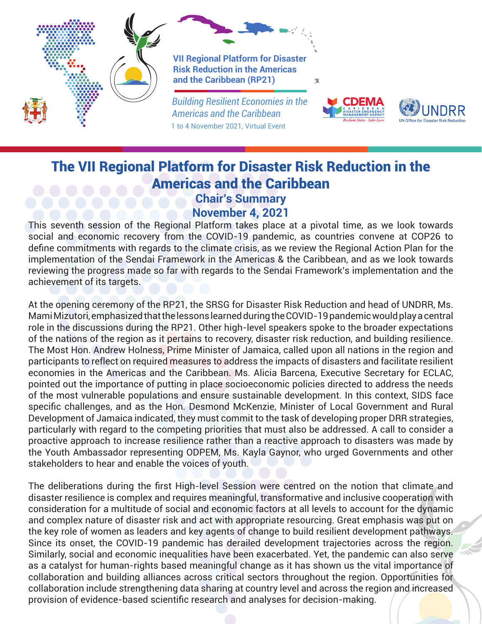

## The VII Regional Platform for Disaster Risk Reduction in the Americas and the Caribbean

## **Chair's Summary November 4, 2021**

This seventh session of the Regional Platform takes place at a pivotal time, as we look towards social and economic recovery from the COVID-19 pandemic, as countries convene at COP26 to define commitments with regards to the climate crisis, as we review the Regional Action Plan for the implementation of the Sendai Framework in the Americas & the Caribbean, and as we look towards reviewing the progress made so far with regards to the Sendai Framework's implementation and the achievement of its targets.

At the opening ceremony of the RP21, the SRSG for Disaster Risk Reduction and head of UNDRR, Ms. Mami Mizutori, emphasized that the lessons learned during the COVID-19 pandemic would play a central role in the discussions during the RP21. Other high-level speakers spoke to the broader expectations of the nations of the region as it pertains to recovery, disaster risk reduction, and building resilience. The Most Hon. Andrew Holness, Prime Minister of Jamaica, called upon all nations in the region and participants to reflect on required measures to address the impacts of disasters and facilitate resilient economies in the Americas and the Caribbean. Ms. Alicia Barcena, Executive Secretary for ECLAC, pointed out the importance of putting in place socioeconomic policies directed to address the needs of the most vulnerable populations and ensure sustainable development. In this context, SIDS face specific challenges, and as the Hon. Desmond McKenzie, Minister of Local Government and Rural Development of Jamaica indicated, they must commit to the task of developing proper DRR strategies, particularly with regard to the competing priorities that must also be addressed. A call to consider a proactive approach to increase resilience rather than a reactive approach to disasters was made by the Youth Ambassador representing ODPEM, Ms. Kayla Gaynor, who urged Governments and other stakeholders to hear and enable the voices of youth.

The deliberations during the first High-level Session were centred on the notion that climate and disaster resilience is complex and requires meaningful, transformative and inclusive cooperation with consideration for a multitude of social and economic factors at all levels to account for the dynamic and complex nature of disaster risk and act with appropriate resourcing. Great emphasis was put on the key role of women as leaders and key agents of change to build resilient development pathways. Since its onset, the COVID-19 pandemic has derailed development trajectories across the region. Similarly, social and economic inequalities have been exacerbated. Yet, the pandemic can also serve as a catalyst for human-rights based meaningful change as it has shown us the vital importance of collaboration and building alliances across critical sectors throughout the region. Opportunities for collaboration include strengthening data sharing at country level and across the region and increased provision of evidence-based scientific research and analyses for decision-making.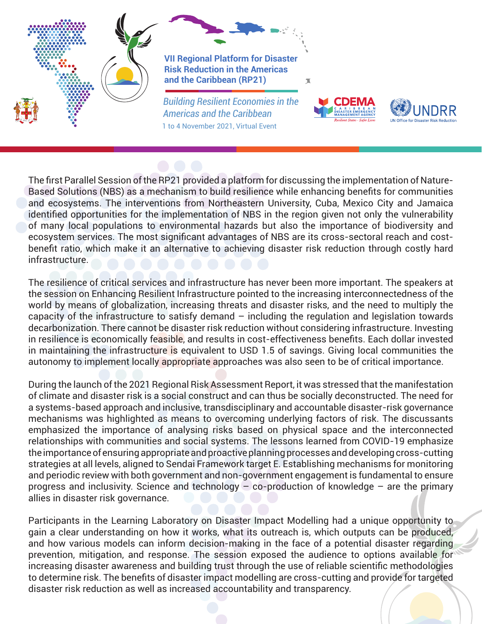



The first Parallel Session of the RP21 provided a platform for discussing the implementation of Nature-Based Solutions (NBS) as a mechanism to build resilience while enhancing benefits for communities and ecosystems. The interventions from Northeastern University, Cuba, Mexico City and Jamaica identified opportunities for the implementation of NBS in the region given not only the vulnerability of many local populations to environmental hazards but also the importance of biodiversity and ecosystem services. The most significant advantages of NBS are its cross-sectoral reach and costbenefit ratio, which make it an alternative to achieving disaster risk reduction through costly hard infrastructure.

The resilience of critical services and infrastructure has never been more important. The speakers at the session on Enhancing Resilient Infrastructure pointed to the increasing interconnectedness of the world by means of globalization, increasing threats and disaster risks, and the need to multiply the capacity of the infrastructure to satisfy demand – including the regulation and legislation towards decarbonization. There cannot be disaster risk reduction without considering infrastructure. Investing in resilience is economically feasible, and results in cost-effectiveness benefits. Each dollar invested in maintaining the infrastructure is equivalent to USD 1.5 of savings. Giving local communities the autonomy to implement locally appropriate approaches was also seen to be of critical importance.

During the launch of the 2021 Regional Risk Assessment Report, it was stressed that the manifestation of climate and disaster risk is a social construct and can thus be socially deconstructed. The need for a systems-based approach and inclusive, transdisciplinary and accountable disaster-risk governance mechanisms was highlighted as means to overcoming underlying factors of risk. The discussants emphasized the importance of analysing risks based on physical space and the interconnected relationships with communities and social systems. The lessons learned from COVID-19 emphasize the importance of ensuring appropriate and proactive planning processes and developing cross-cutting strategies at all levels, aligned to Sendai Framework target E. Establishing mechanisms for monitoring and periodic review with both government and non-government engagement is fundamental to ensure progress and inclusivity. Science and technology – co-production of knowledge – are the primary allies in disaster risk governance.

Participants in the Learning Laboratory on Disaster Impact Modelling had a unique opportunity to gain a clear understanding on how it works, what its outreach is, which outputs can be produced, and how various models can inform decision-making in the face of a potential disaster regarding prevention, mitigation, and response. The session exposed the audience to options available for increasing disaster awareness and building trust through the use of reliable scientific methodologies to determine risk. The benefits of disaster impact modelling are cross-cutting and provide for targeted disaster risk reduction as well as increased accountability and transparency.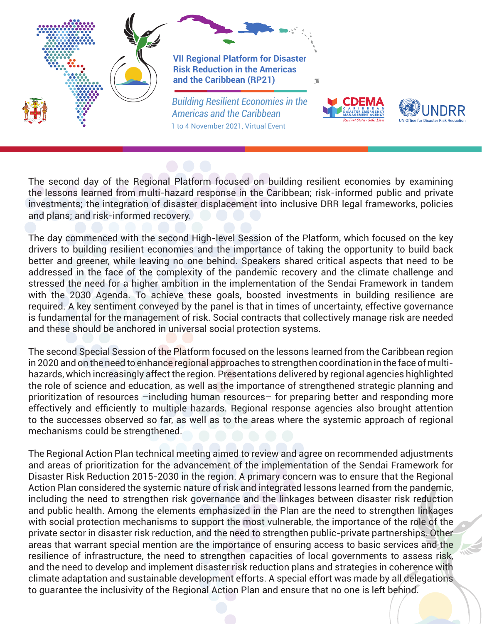

The second day of the Regional Platform focused on building resilient economies by examining the lessons learned from multi-hazard response in the Caribbean; risk-informed public and private investments; the integration of disaster displacement into inclusive DRR legal frameworks, policies and plans; and risk-informed recovery.

The day commenced with the second High-level Session of the Platform, which focused on the key drivers to building resilient economies and the importance of taking the opportunity to build back better and greener, while leaving no one behind. Speakers shared critical aspects that need to be addressed in the face of the complexity of the pandemic recovery and the climate challenge and stressed the need for a higher ambition in the implementation of the Sendai Framework in tandem with the 2030 Agenda. To achieve these goals, boosted investments in building resilience are required. A key sentiment conveyed by the panel is that in times of uncertainty, effective governance is fundamental for the management of risk. Social contracts that collectively manage risk are needed and these should be anchored in universal social protection systems.

The second Special Session of the Platform focused on the lessons learned from the Caribbean region in 2020 and on the need to enhance regional approaches to strengthen coordination in the face of multihazards, which increasingly affect the region. Presentations delivered by regional agencies highlighted the role of science and education, as well as the importance of strengthened strategic planning and prioritization of resources –including human resources– for preparing better and responding more effectively and efficiently to multiple hazards. Regional response agencies also brought attention to the successes observed so far, as well as to the areas where the systemic approach of regional mechanisms could be strengthened.

The Regional Action Plan technical meeting aimed to review and agree on recommended adjustments and areas of prioritization for the advancement of the implementation of the Sendai Framework for Disaster Risk Reduction 2015-2030 in the region. A primary concern was to ensure that the Regional Action Plan considered the systemic nature of risk and integrated lessons learned from the pandemic, including the need to strengthen risk governance and the linkages between disaster risk reduction and public health. Among the elements emphasized in the Plan are the need to strengthen linkages with social protection mechanisms to support the most vulnerable, the importance of the role of the private sector in disaster risk reduction, and the need to strengthen public-private partnerships. Other areas that warrant special mention are the importance of ensuring access to basic services and the resilience of infrastructure, the need to strengthen capacities of local governments to assess risk, and the need to develop and implement disaster risk reduction plans and strategies in coherence with climate adaptation and sustainable development efforts. A special effort was made by all delegations to guarantee the inclusivity of the Regional Action Plan and ensure that no one is left behind.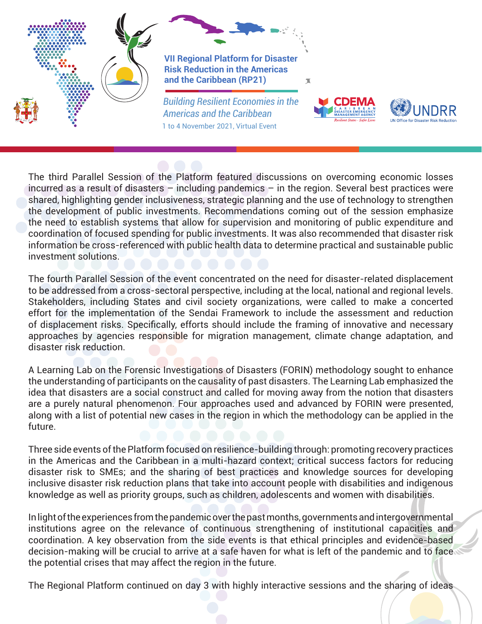



The third Parallel Session of the Platform featured discussions on overcoming economic losses incurred as a result of disasters – including pandemics – in the region. Several best practices were shared, highlighting gender inclusiveness, strategic planning and the use of technology to strengthen the development of public investments. Recommendations coming out of the session emphasize the need to establish systems that allow for supervision and monitoring of public expenditure and coordination of focused spending for public investments. It was also recommended that disaster risk information be cross-referenced with public health data to determine practical and sustainable public investment solutions.

The fourth Parallel Session of the event concentrated on the need for disaster-related displacement to be addressed from a cross-sectoral perspective, including at the local, national and regional levels. Stakeholders, including States and civil society organizations, were called to make a concerted effort for the implementation of the Sendai Framework to include the assessment and reduction of displacement risks. Specifically, efforts should include the framing of innovative and necessary approaches by agencies responsible for migration management, climate change adaptation, and disaster risk reduction.

A Learning Lab on the Forensic Investigations of Disasters (FORIN) methodology sought to enhance the understanding of participants on the causality of past disasters. The Learning Lab emphasized the idea that disasters are a social construct and called for moving away from the notion that disasters are a purely natural phenomenon. Four approaches used and advanced by FORIN were presented, along with a list of potential new cases in the region in which the methodology can be applied in the future.

Three side events of the Platform focused on resilience-building through: promoting recovery practices in the Americas and the Caribbean in a multi-hazard context; critical success factors for reducing disaster risk to SMEs; and the sharing of best practices and knowledge sources for developing inclusive disaster risk reduction plans that take into account people with disabilities and indigenous knowledge as well as priority groups, such as children, adolescents and women with disabilities.

In light of the experiences from the pandemic over the past months, governments and intergovernmental institutions agree on the relevance of continuous strengthening of institutional capacities and coordination. A key observation from the side events is that ethical principles and evidence-based decision-making will be crucial to arrive at a safe haven for what is left of the pandemic and to face the potential crises that may affect the region in the future.

The Regional Platform continued on day 3 with highly interactive sessions and the sharing of ideas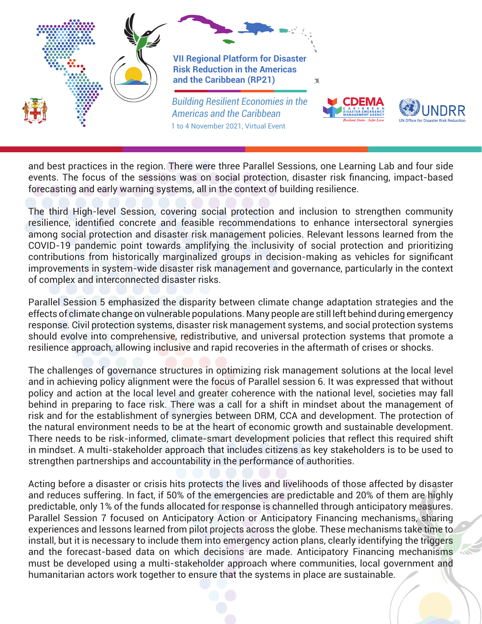

and best practices in the region. There were three Parallel Sessions, one Learning Lab and four side events. The focus of the sessions was on social protection, disaster risk financing, impact-based forecasting and early warning systems, all in the context of building resilience.

The third High-level Session, covering social protection and inclusion to strengthen community resilience, identified concrete and feasible recommendations to enhance intersectoral synergies among social protection and disaster risk management policies. Relevant lessons learned from the COVID-19 pandemic point towards amplifying the inclusivity of social protection and prioritizing contributions from historically marginalized groups in decision-making as vehicles for significant improvements in system-wide disaster risk management and governance, particularly in the context of complex and interconnected disaster risks.

Parallel Session 5 emphasized the disparity between climate change adaptation strategies and the effects of climate change on vulnerable populations. Many people are still left behind during emergency response. Civil protection systems, disaster risk management systems, and social protection systems should evolve into comprehensive, redistributive, and universal protection systems that promote a resilience approach, allowing inclusive and rapid recoveries in the aftermath of crises or shocks.

The challenges of governance structures in optimizing risk management solutions at the local level and in achieving policy alignment were the focus of Parallel session 6. It was expressed that without policy and action at the local level and greater coherence with the national level, societies may fall behind in preparing to face risk. There was a call for a shift in mindset about the management of risk and for the establishment of synergies between DRM, CCA and development. The protection of the natural environment needs to be at the heart of economic growth and sustainable development. There needs to be risk-informed, climate-smart development policies that reflect this required shift in mindset. A multi-stakeholder approach that includes citizens as key stakeholders is to be used to strengthen partnerships and accountability in the performance of authorities.

Acting before a disaster or crisis hits protects the lives and livelihoods of those affected by disaster and reduces suffering. In fact, if 50% of the emergencies are predictable and 20% of them are highly predictable, only 1% of the funds allocated for response is channelled through anticipatory measures. Parallel Session 7 focused on Anticipatory Action or Anticipatory Financing mechanisms, sharing experiences and lessons learned from pilot projects across the globe. These mechanisms take time to install, but it is necessary to include them into emergency action plans, clearly identifying the triggers and the forecast-based data on which decisions are made. Anticipatory Financing mechanisms must be developed using a multi-stakeholder approach where communities, local government and humanitarian actors work together to ensure that the systems in place are sustainable.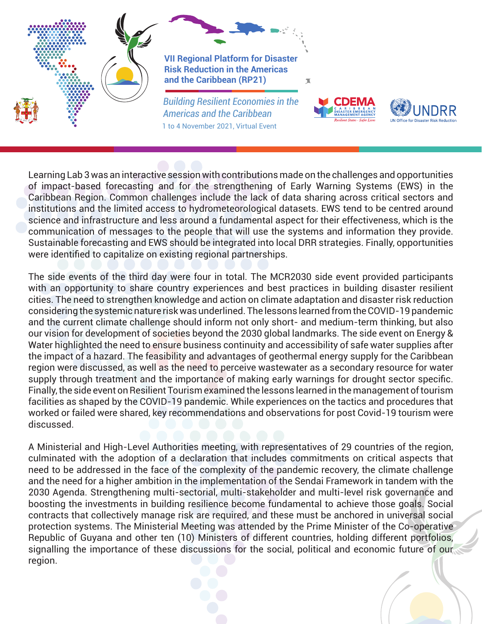



Learning Lab 3 was an interactive session with contributions made on the challenges and opportunities of impact-based forecasting and for the strengthening of Early Warning Systems (EWS) in the Caribbean Region. Common challenges include the lack of data sharing across critical sectors and institutions and the limited access to hydrometeorological datasets. EWS tend to be centred around science and infrastructure and less around a fundamental aspect for their effectiveness, which is the communication of messages to the people that will use the systems and information they provide. Sustainable forecasting and EWS should be integrated into local DRR strategies. Finally, opportunities were identified to capitalize on existing regional partnerships.

The side events of the third day were four in total. The MCR2030 side event provided participants with an opportunity to share country experiences and best practices in building disaster resilient cities. The need to strengthen knowledge and action on climate adaptation and disaster risk reduction considering the systemic nature risk was underlined. The lessons learned from the COVID-19 pandemic and the current climate challenge should inform not only short- and medium-term thinking, but also our vision for development of societies beyond the 2030 global landmarks. The side event on Energy & Water highlighted the need to ensure business continuity and accessibility of safe water supplies after the impact of a hazard. The feasibility and advantages of geothermal energy supply for the Caribbean region were discussed, as well as the need to perceive wastewater as a secondary resource for water supply through treatment and the importance of making early warnings for drought sector specific. Finally, the side event on Resilient Tourism examined the lessons learned in the management of tourism facilities as shaped by the COVID-19 pandemic. While experiences on the tactics and procedures that worked or failed were shared, key recommendations and observations for post Covid-19 tourism were discussed.

A Ministerial and High-Level Authorities meeting, with representatives of 29 countries of the region, culminated with the adoption of a declaration that includes commitments on critical aspects that need to be addressed in the face of the complexity of the pandemic recovery, the climate challenge and the need for a higher ambition in the implementation of the Sendai Framework in tandem with the 2030 Agenda. Strengthening multi-sectorial, multi-stakeholder and multi-level risk governance and boosting the investments in building resilience become fundamental to achieve those goals. Social contracts that collectively manage risk are required, and these must be anchored in universal social protection systems. The Ministerial Meeting was attended by the Prime Minister of the Co-operative Republic of Guyana and other ten (10) Ministers of different countries, holding different portfolios, signalling the importance of these discussions for the social, political and economic future of our region.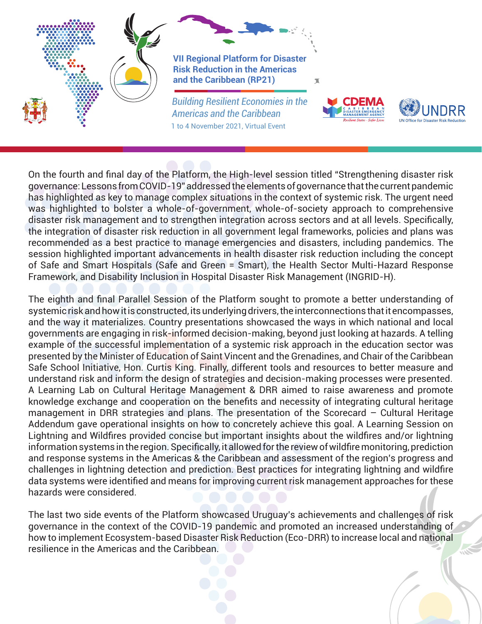

On the fourth and final day of the Platform, the High-level session titled "Strengthening disaster risk governance: Lessons from COVID-19" addressed the elements of governance that the current pandemic has highlighted as key to manage complex situations in the context of systemic risk. The urgent need was highlighted to bolster a whole-of-government, whole-of-society approach to comprehensive disaster risk management and to strengthen integration across sectors and at all levels. Specifically, the integration of disaster risk reduction in all government legal frameworks, policies and plans was recommended as a best practice to manage emergencies and disasters, including pandemics. The session highlighted important advancements in health disaster risk reduction including the concept of Safe and Smart Hospitals (Safe and Green = Smart), the Health Sector Multi-Hazard Response Framework, and Disability Inclusion in Hospital Disaster Risk Management (INGRID-H).

The eighth and final Parallel Session of the Platform sought to promote a better understanding of systemic risk and how it is constructed, its underlying drivers, the interconnections that it encompasses, and the way it materializes. Country presentations showcased the ways in which national and local governments are engaging in risk-informed decision-making, beyond just looking at hazards. A telling example of the successful implementation of a systemic risk approach in the education sector was presented by the Minister of Education of Saint Vincent and the Grenadines, and Chair of the Caribbean Safe School Initiative, Hon. Curtis King. Finally, different tools and resources to better measure and understand risk and inform the design of strategies and decision-making processes were presented. A Learning Lab on Cultural Heritage Management & DRR aimed to raise awareness and promote knowledge exchange and cooperation on the benefits and necessity of integrating cultural heritage management in DRR strategies and plans. The presentation of the Scorecard – Cultural Heritage Addendum gave operational insights on how to concretely achieve this goal. A Learning Session on Lightning and Wildfires provided concise but important insights about the wildfires and/or lightning information systems in the region. Specifically, it allowed for the review of wildfire monitoring, prediction and response systems in the Americas & the Caribbean and assessment of the region's progress and challenges in lightning detection and prediction. Best practices for integrating lightning and wildfire data systems were identified and means for improving current risk management approaches for these hazards were considered.

The last two side events of the Platform showcased Uruguay's achievements and challenges of risk governance in the context of the COVID-19 pandemic and promoted an increased understanding of how to implement Ecosystem-based Disaster Risk Reduction (Eco-DRR) to increase local and national resilience in the Americas and the Caribbean.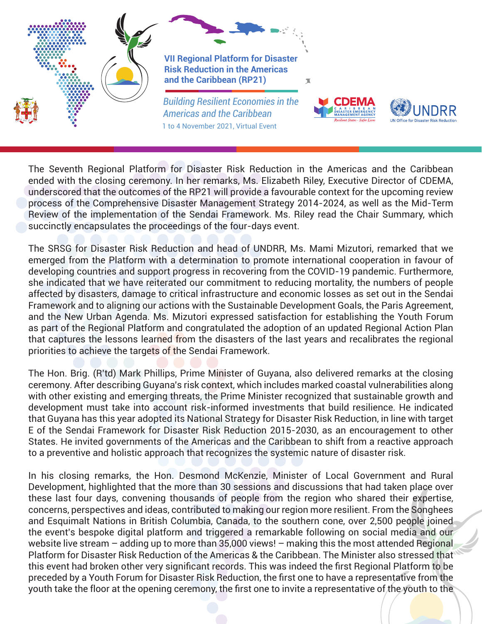

The Seventh Regional Platform for Disaster Risk Reduction in the Americas and the Caribbean ended with the closing ceremony. In her remarks, Ms. Elizabeth Riley, Executive Director of CDEMA, underscored that the outcomes of the RP21 will provide a favourable context for the upcoming review process of the Comprehensive Disaster Management Strategy 2014-2024, as well as the Mid-Term Review of the implementation of the Sendai Framework. Ms. Riley read the Chair Summary, which succinctly encapsulates the proceedings of the four-days event.

The SRSG for Disaster Risk Reduction and head of UNDRR, Ms. Mami Mizutori, remarked that we emerged from the Platform with a determination to promote international cooperation in favour of developing countries and support progress in recovering from the COVID-19 pandemic. Furthermore, she indicated that we have reiterated our commitment to reducing mortality, the numbers of people affected by disasters, damage to critical infrastructure and economic losses as set out in the Sendai Framework and to aligning our actions with the Sustainable Development Goals, the Paris Agreement, and the New Urban Agenda. Ms. Mizutori expressed satisfaction for establishing the Youth Forum as part of the Regional Platform and congratulated the adoption of an updated Regional Action Plan that captures the lessons learned from the disasters of the last years and recalibrates the regional priorities to achieve the targets of the Sendai Framework.

The Hon. Brig. (R'td) Mark Phillips, Prime Minister of Guyana, also delivered remarks at the closing ceremony. After describing Guyana's risk context, which includes marked coastal vulnerabilities along with other existing and emerging threats, the Prime Minister recognized that sustainable growth and development must take into account risk-informed investments that build resilience. He indicated that Guyana has this year adopted its National Strategy for Disaster Risk Reduction, in line with target E of the Sendai Framework for Disaster Risk Reduction 2015-2030, as an encouragement to other States. He invited governments of the Americas and the Caribbean to shift from a reactive approach to a preventive and holistic approach that recognizes the systemic nature of disaster risk.

In his closing remarks, the Hon. Desmond McKenzie, Minister of Local Government and Rural Development, highlighted that the more than 30 sessions and discussions that had taken place over these last four days, convening thousands of people from the region who shared their expertise, concerns, perspectives and ideas, contributed to making our region more resilient. From the Songhees and Esquimalt Nations in British Columbia, Canada, to the southern cone, over 2,500 people joined the event's bespoke digital platform and triggered a remarkable following on social media and our website live stream – adding up to more than 35,000 views! – making this the most attended Regional Platform for Disaster Risk Reduction of the Americas & the Caribbean. The Minister also stressed that this event had broken other very significant records. This was indeed the first Regional Platform to be preceded by a Youth Forum for Disaster Risk Reduction, the first one to have a representative from the youth take the floor at the opening ceremony, the first one to invite a representative of the youth to the